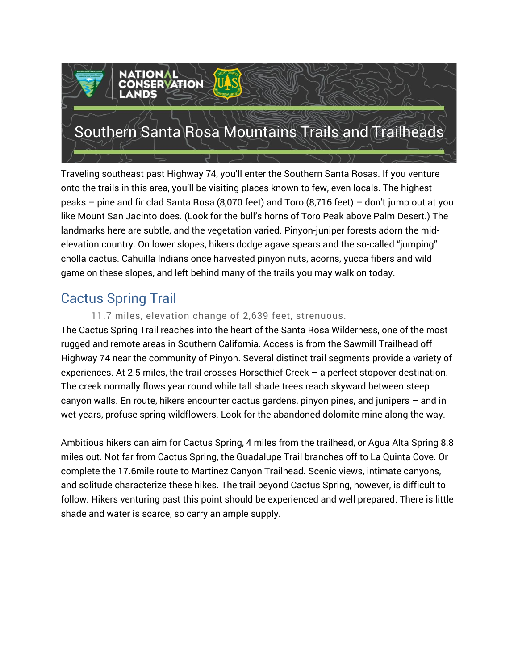

Traveling southeast past Highway 74, you'll enter the Southern Santa Rosas. If you venture onto the trails in this area, you'll be visiting places known to few, even locals. The highest peaks – pine and fir clad Santa Rosa (8,070 feet) and Toro (8,716 feet) – don't jump out at you like Mount San Jacinto does. (Look for the bull's horns of Toro Peak above Palm Desert.) The landmarks here are subtle, and the vegetation varied. Pinyon-juniper forests adorn the midelevation country. On lower slopes, hikers dodge agave spears and the so-called "jumping" cholla cactus. Cahuilla Indians once harvested pinyon nuts, acorns, yucca fibers and wild game on these slopes, and left behind many of the trails you may walk on today.

# Cactus Spring Trail

### 11.7 miles, elevation change of 2,639 feet, strenuous.

The Cactus Spring Trail reaches into the heart of the Santa Rosa Wilderness, one of the most rugged and remote areas in Southern California. Access is from the Sawmill Trailhead off Highway 74 near the community of Pinyon. Several distinct trail segments provide a variety of experiences. At 2.5 miles, the trail crosses Horsethief Creek – a perfect stopover destination. The creek normally flows year round while tall shade trees reach skyward between steep canyon walls. En route, hikers encounter cactus gardens, pinyon pines, and junipers – and in wet years, profuse spring wildflowers. Look for the abandoned dolomite mine along the way.

Ambitious hikers can aim for Cactus Spring, 4 miles from the trailhead, or Agua Alta Spring 8.8 miles out. Not far from Cactus Spring, the Guadalupe Trail branches off to La Quinta Cove. Or complete the 17.6mile route to Martinez Canyon Trailhead. Scenic views, intimate canyons, and solitude characterize these hikes. The trail beyond Cactus Spring, however, is difficult to follow. Hikers venturing past this point should be experienced and well prepared. There is little shade and water is scarce, so carry an ample supply.